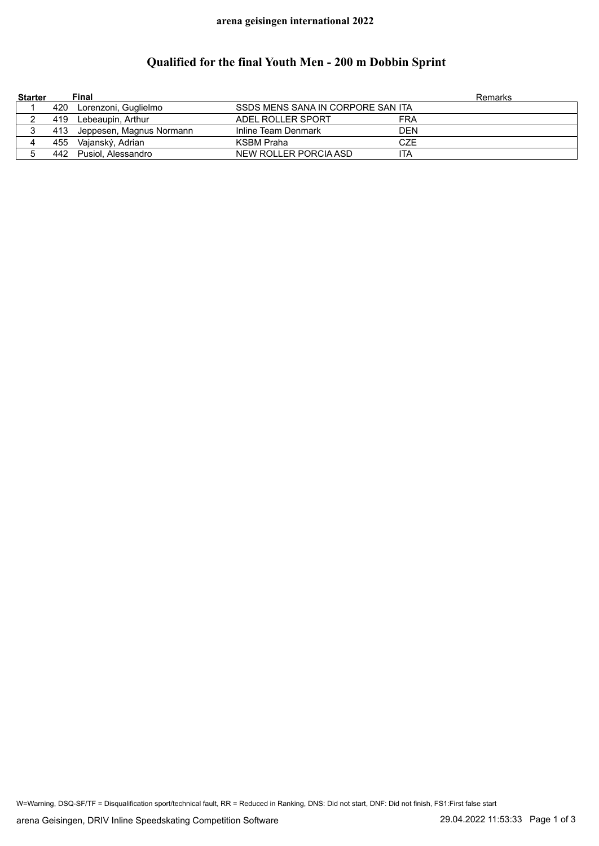## **arena geisingen international 2022**

## **Qualified for the final Youth Men - 200 m Dobbin Sprint**

| <b>Starter</b> |     | <b>Final</b>                 |                                   |            | Remarks |
|----------------|-----|------------------------------|-----------------------------------|------------|---------|
|                |     | 420 Lorenzoni, Guglielmo     | SSDS MENS SANA IN CORPORE SAN ITA |            |         |
|                |     | 419 Lebeaupin, Arthur        | ADEL ROLLER SPORT                 | FRA        |         |
|                |     | 413 Jeppesen, Magnus Normann | Inline Team Denmark               | <b>DEN</b> |         |
| 4              | 455 | Vajanský, Adrian             | KSBM Praha                        | CZE        |         |
|                |     | 442 Pusiol, Alessandro       | NEW ROLLER PORCIA ASD             | ita        |         |

W=Warning, DSQ-SF/TF = Disqualification sport/technical fault, RR = Reduced in Ranking, DNS: Did not start, DNF: Did not finish, FS1:First false start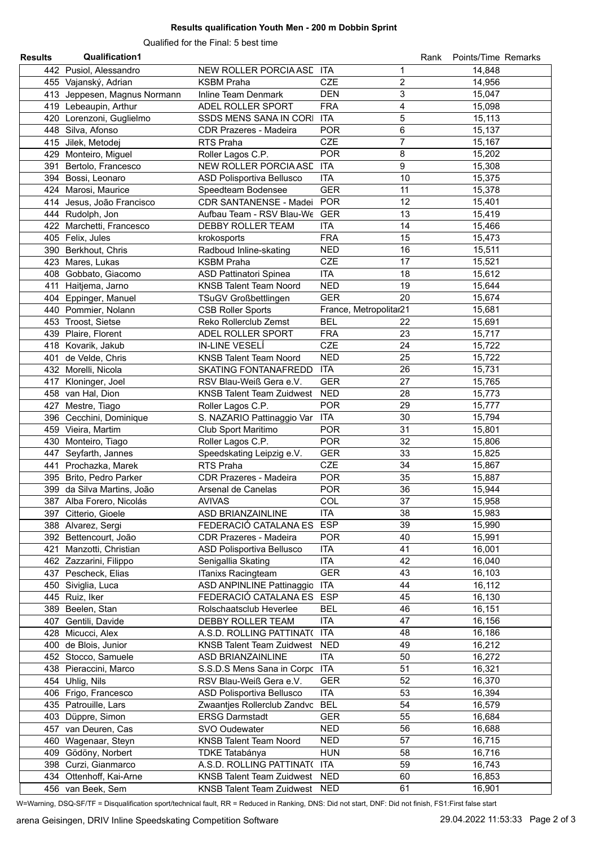## **Results qualification Youth Men - 200 m Dobbin Sprint**

Qualified for the Final: 5 best time

| <b>Results</b> | <b>Qualification1</b>        |                                  |                              | Rank | Points/Time Remarks |
|----------------|------------------------------|----------------------------------|------------------------------|------|---------------------|
|                | 442 Pusiol, Alessandro       | NEW ROLLER PORCIA ASE ITA        | 1                            |      | 14,848              |
|                | 455 Vajanský, Adrian         | <b>KSBM Praha</b>                | $\overline{c}$<br><b>CZE</b> |      | 14,956              |
|                | 413 Jeppesen, Magnus Normann | Inline Team Denmark              | 3<br><b>DEN</b>              |      | 15,047              |
|                | 419 Lebeaupin, Arthur        | ADEL ROLLER SPORT                | <b>FRA</b><br>4              |      | 15,098              |
|                | 420 Lorenzoni, Guglielmo     | SSDS MENS SANA IN CORI           | 5<br><b>ITA</b>              |      | 15,113              |
|                |                              |                                  | $\,6$                        |      |                     |
|                | 448 Silva, Afonso            | <b>CDR Prazeres - Madeira</b>    | <b>POR</b>                   |      | 15,137              |
|                | 415 Jilek, Metodej           | RTS Praha                        | $\overline{7}$<br><b>CZE</b> |      | 15,167              |
|                | 429 Monteiro, Miguel         | Roller Lagos C.P.                | 8<br><b>POR</b>              |      | 15,202              |
|                | 391 Bertolo, Francesco       | NEW ROLLER PORCIA ASE ITA        | 9                            |      | 15,308              |
|                | 394 Bossi, Leonaro           | ASD Polisportiva Bellusco        | <b>ITA</b>                   | 10   | 15,375              |
|                | 424 Marosi, Maurice          | Speedteam Bodensee               | <b>GER</b>                   | 11   | 15,378              |
|                | 414 Jesus, João Francisco    | CDR SANTANENSE - Madei           | <b>POR</b>                   | 12   | 15,401              |
|                | 444 Rudolph, Jon             | Aufbau Team - RSV Blau-We GER    |                              | 13   | 15,419              |
|                | 422 Marchetti, Francesco     | DEBBY ROLLER TEAM                | <b>ITA</b>                   | 14   | 15,466              |
|                | 405 Felix, Jules             | krokosports                      | <b>FRA</b>                   | 15   | 15,473              |
|                | 390 Berkhout, Chris          | Radboud Inline-skating           | <b>NED</b>                   | 16   | 15,511              |
|                | 423 Mares, Lukas             | <b>KSBM Praha</b>                | <b>CZE</b>                   | 17   | 15,521              |
|                | 408 Gobbato, Giacomo         | <b>ASD Pattinatori Spinea</b>    | <b>ITA</b>                   | 18   | 15,612              |
|                |                              |                                  |                              |      |                     |
|                | 411 Haitjema, Jarno          | <b>KNSB Talent Team Noord</b>    | <b>NED</b>                   | 19   | 15,644              |
|                | 404 Eppinger, Manuel         | <b>TSuGV Großbettlingen</b>      | <b>GER</b>                   | 20   | 15,674              |
|                | 440 Pommier, Nolann          | <b>CSB Roller Sports</b>         | France, Metropolitar21       |      | 15,681              |
|                | 453 Troost, Sietse           | Reko Rollerclub Zemst            | <b>BEL</b>                   | 22   | 15,691              |
|                | 439 Plaire, Florent          | ADEL ROLLER SPORT                | <b>FRA</b>                   | 23   | 15,717              |
|                | 418 Kovarik, Jakub           | IN-LINE VESELÍ                   | <b>CZE</b>                   | 24   | 15,722              |
|                | 401 de Velde, Chris          | <b>KNSB Talent Team Noord</b>    | <b>NED</b>                   | 25   | 15,722              |
|                | 432 Morelli, Nicola          | <b>SKATING FONTANAFREDD</b>      | <b>ITA</b>                   | 26   | 15,731              |
|                | 417 Kloninger, Joel          | RSV Blau-Weiß Gera e.V.          | <b>GER</b>                   | 27   | 15,765              |
|                | 458 van Hal, Dion            | <b>KNSB Talent Team Zuidwest</b> | <b>NED</b>                   | 28   | 15,773              |
| 427            | Mestre, Tiago                | Roller Lagos C.P.                | <b>POR</b>                   | 29   | 15,777              |
|                |                              |                                  | <b>ITA</b>                   |      |                     |
|                | 396 Cecchini, Dominique      | S. NAZARIO Pattinaggio Var       |                              | 30   | 15,794              |
|                | 459 Vieira, Martim           | Club Sport Maritimo              | <b>POR</b>                   | 31   | 15,801              |
|                | 430 Monteiro, Tiago          | Roller Lagos C.P.                | <b>POR</b>                   | 32   | 15,806              |
|                | 447 Seyfarth, Jannes         | Speedskating Leipzig e.V.        | <b>GER</b>                   | 33   | 15,825              |
|                | 441 Prochazka, Marek         | RTS Praha                        | <b>CZE</b>                   | 34   | 15,867              |
|                | 395 Brito, Pedro Parker      | <b>CDR Prazeres - Madeira</b>    | <b>POR</b>                   | 35   | 15,887              |
|                | 399 da Silva Martins, João   | Arsenal de Canelas               | <b>POR</b>                   | 36   | 15,944              |
|                | 387 Alba Forero, Nicolás     | <b>AVIVAS</b>                    | COL                          | 37   | 15,958              |
|                | 397 Citterio, Gioele         | ASD BRIANZAINLINE                | <b>ITA</b>                   | 38   | 15,983              |
|                | 388 Alvarez, Sergi           | FEDERACIÓ CATALANA ES            | <b>ESP</b>                   | 39   | 15,990              |
|                | 392 Bettencourt, João        | <b>CDR Prazeres - Madeira</b>    | <b>POR</b>                   | 40   | 15,991              |
|                |                              | ASD Polisportiva Bellusco        | <b>ITA</b>                   | 41   | 16,001              |
| 421            | Manzotti, Christian          |                                  |                              |      |                     |
|                | 462 Zazzarini, Filippo       | Senigallia Skating               | <b>ITA</b>                   | 42   | 16,040              |
|                | 437 Pescheck, Elias          | ITanixs Racingteam               | <b>GER</b>                   | 43   | 16,103              |
|                | 450 Siviglia, Luca           | ASD ANPINLINE Pattinaggio        | <b>ITA</b>                   | 44   | 16,112              |
|                | 445 Ruiz, Iker               | FEDERACIÓ CATALANA ES            | <b>ESP</b>                   | 45   | 16,130              |
|                | 389 Beelen, Stan             | Rolschaatsclub Heverlee          | <b>BEL</b>                   | 46   | 16,151              |
|                | 407 Gentili, Davide          | DEBBY ROLLER TEAM                | <b>ITA</b>                   | 47   | 16,156              |
|                | 428 Micucci, Alex            | A.S.D. ROLLING PATTINAT(         | <b>ITA</b>                   | 48   | 16,186              |
|                | 400 de Blois, Junior         | <b>KNSB Talent Team Zuidwest</b> | <b>NED</b>                   | 49   | 16,212              |
|                | 452 Stocco, Samuele          | ASD BRIANZAINLINE                | <b>ITA</b>                   | 50   | 16,272              |
|                | 438 Pieraccini, Marco        | S.S.D.S Mens Sana in Corpc       | <b>ITA</b>                   | 51   | 16,321              |
|                | 454 Uhlig, Nils              | RSV Blau-Weiß Gera e.V.          | <b>GER</b>                   | 52   | 16,370              |
|                |                              |                                  | <b>ITA</b>                   | 53   |                     |
|                | 406 Frigo, Francesco         | ASD Polisportiva Bellusco        |                              |      | 16,394              |
|                | 435 Patrouille, Lars         | Zwaantjes Rollerclub Zandvc      | <b>BEL</b>                   | 54   | 16,579              |
|                | 403 Düppre, Simon            | <b>ERSG Darmstadt</b>            | <b>GER</b>                   | 55   | 16,684              |
|                | 457 van Deuren, Cas          | SVO Oudewater                    | <b>NED</b>                   | 56   | 16,688              |
|                | 460 Wagenaar, Steyn          | <b>KNSB Talent Team Noord</b>    | <b>NED</b>                   | 57   | 16,715              |
|                | 409 Gödöny, Norbert          | TDKE Tatabánya                   | <b>HUN</b>                   | 58   | 16,716              |
|                | 398 Curzi, Gianmarco         | A.S.D. ROLLING PATTINAT(         | <b>ITA</b>                   | 59   | 16,743              |
|                | 434 Ottenhoff, Kai-Arne      | <b>KNSB Talent Team Zuidwest</b> | <b>NED</b>                   | 60   | 16,853              |
|                | 456 van Beek, Sem            | KNSB Talent Team Zuidwest NED    |                              | 61   | 16,901              |

W=Warning, DSQ-SF/TF = Disqualification sport/technical fault, RR = Reduced in Ranking, DNS: Did not start, DNF: Did not finish, FS1:First false start